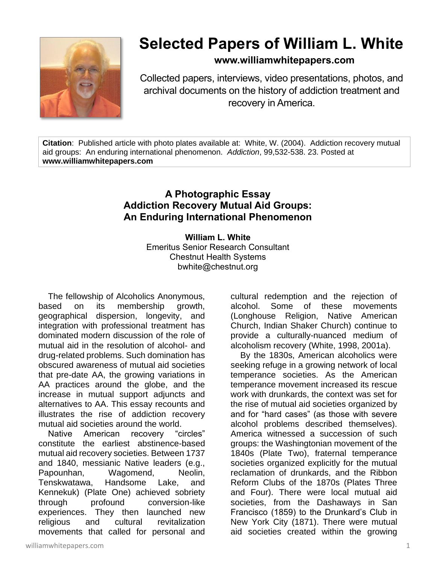

# **Selected Papers of William L. White**

## **www.williamwhitepapers.com**

Collected papers, interviews, video presentations, photos, and archival documents on the history of addiction treatment and recovery in America.

**Citation**: Published article with photo plates available at: White, W. (2004). Addiction recovery mutual aid groups: An enduring international phenomenon. *Addiction*, 99,532-538. 23. Posted at **www.williamwhitepapers.com**

# **A Photographic Essay Addiction Recovery Mutual Aid Groups: An Enduring International Phenomenon**

**William L. White**

Emeritus Senior Research Consultant Chestnut Health Systems bwhite@chestnut.org

The fellowship of Alcoholics Anonymous, based on its membership growth, geographical dispersion, longevity, and integration with professional treatment has dominated modern discussion of the role of mutual aid in the resolution of alcohol- and drug-related problems. Such domination has obscured awareness of mutual aid societies that pre-date AA, the growing variations in AA practices around the globe, and the increase in mutual support adjuncts and alternatives to AA. This essay recounts and illustrates the rise of addiction recovery mutual aid societies around the world.

Native American recovery "circles" constitute the earliest abstinence-based mutual aid recovery societies. Between 1737 and 1840, messianic Native leaders (e.g., Papounhan, Wagomend, Neolin, Tenskwatawa, Handsome Lake, and Kennekuk) (Plate One) achieved sobriety through profound conversion-like experiences. They then launched new religious and cultural revitalization movements that called for personal and

cultural redemption and the rejection of alcohol. Some of these movements (Longhouse Religion, Native American Church, Indian Shaker Church) continue to provide a culturally-nuanced medium of alcoholism recovery (White, 1998, 2001a).

By the 1830s, American alcoholics were seeking refuge in a growing network of local temperance societies. As the American temperance movement increased its rescue work with drunkards, the context was set for the rise of mutual aid societies organized by and for "hard cases" (as those with severe alcohol problems described themselves). America witnessed a succession of such groups: the Washingtonian movement of the 1840s (Plate Two), fraternal temperance societies organized explicitly for the mutual reclamation of drunkards, and the Ribbon Reform Clubs of the 1870s (Plates Three and Four). There were local mutual aid societies, from the Dashaways in San Francisco (1859) to the Drunkard's Club in New York City (1871). There were mutual aid societies created within the growing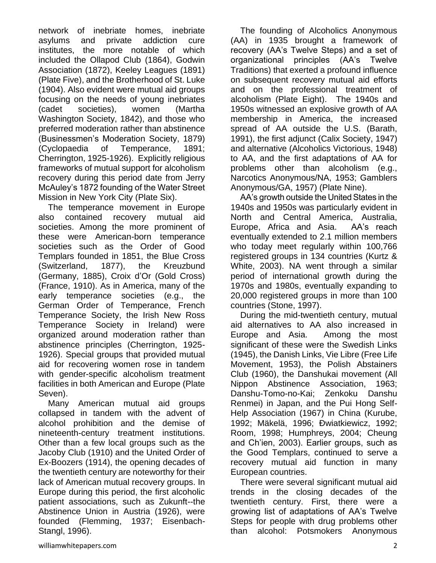network of inebriate homes, inebriate asylums and private addiction cure institutes, the more notable of which included the Ollapod Club (1864), Godwin Association (1872), Keeley Leagues (1891) (Plate Five), and the Brotherhood of St. Luke (1904). Also evident were mutual aid groups focusing on the needs of young inebriates (cadet societies), women (Martha Washington Society, 1842), and those who preferred moderation rather than abstinence (Businessmen's Moderation Society, 1879) (Cyclopaedia of Temperance, 1891; Cherrington, 1925-1926). Explicitly religious frameworks of mutual support for alcoholism recovery during this period date from Jerry McAuley's 1872 founding of the Water Street Mission in New York City (Plate Six).

The temperance movement in Europe also contained recovery mutual aid societies. Among the more prominent of these were American-born temperance societies such as the Order of Good Templars founded in 1851, the Blue Cross (Switzerland, 1877), the Kreuzbund (Germany, 1885), Croix d'Or (Gold Cross) (France, 1910). As in America, many of the early temperance societies (e.g., the German Order of Temperance, French Temperance Society, the Irish New Ross Temperance Society in Ireland) were organized around moderation rather than abstinence principles (Cherrington, 1925- 1926). Special groups that provided mutual aid for recovering women rose in tandem with gender-specific alcoholism treatment facilities in both American and Europe (Plate Seven).

Many American mutual aid groups collapsed in tandem with the advent of alcohol prohibition and the demise of nineteenth-century treatment institutions. Other than a few local groups such as the Jacoby Club (1910) and the United Order of Ex-Boozers (1914), the opening decades of the twentieth century are noteworthy for their lack of American mutual recovery groups. In Europe during this period, the first alcoholic patient associations, such as Zukunft--the Abstinence Union in Austria (1926), were founded (Flemming, 1937; Eisenbach-Stangl, 1996).

The founding of Alcoholics Anonymous (AA) in 1935 brought a framework of recovery (AA's Twelve Steps) and a set of organizational principles (AA's Twelve Traditions) that exerted a profound influence on subsequent recovery mutual aid efforts and on the professional treatment of alcoholism (Plate Eight). The 1940s and 1950s witnessed an explosive growth of AA membership in America, the increased spread of AA outside the U.S. (Barath, 1991), the first adjunct (Calix Society, 1947) and alternative (Alcoholics Victorious, 1948) to AA, and the first adaptations of AA for problems other than alcoholism (e.g., Narcotics Anonymous/NA, 1953; Gamblers Anonymous/GA, 1957) (Plate Nine).

AA's growth outside the United States in the 1940s and 1950s was particularly evident in North and Central America, Australia, Europe, Africa and Asia. AA's reach eventually extended to 2.1 million members who today meet regularly within 100,766 registered groups in 134 countries (Kurtz & White, 2003). NA went through a similar period of international growth during the 1970s and 1980s, eventually expanding to 20,000 registered groups in more than 100 countries (Stone, 1997).

During the mid-twentieth century, mutual aid alternatives to AA also increased in Europe and Asia. Among the most significant of these were the Swedish Links (1945), the Danish Links, Vie Libre (Free Life Movement, 1953), the Polish Abstainers Club (1960), the Danshukai movement (All Nippon Abstinence Association, 1963; Danshu-Tomo-no-Kai; Zenkoku Danshu Renmei) in Japan, and the Pui Hong Self-Help Association (1967) in China (Kurube, 1992; Mäkelä, 1996; Ðwiatkiewicz, 1992; Room, 1998; Humphreys, 2004; Cheung and Ch'ien, 2003). Earlier groups, such as the Good Templars, continued to serve a recovery mutual aid function in many European countries.

There were several significant mutual aid trends in the closing decades of the twentieth century. First, there were a growing list of adaptations of AA's Twelve Steps for people with drug problems other than alcohol: Potsmokers Anonymous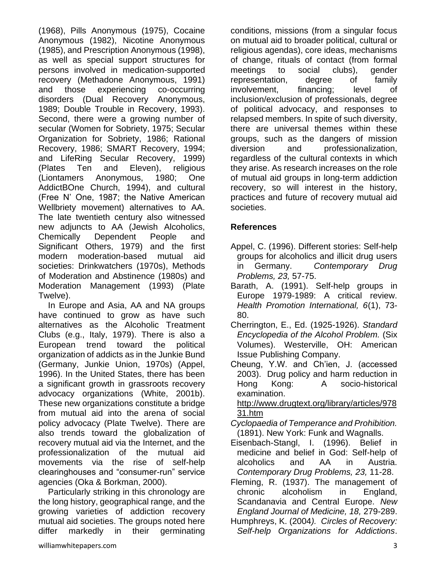(1968), Pills Anonymous (1975), Cocaine Anonymous (1982), Nicotine Anonymous (1985), and Prescription Anonymous (1998), as well as special support structures for persons involved in medication-supported recovery (Methadone Anonymous, 1991) and those experiencing co-occurring disorders (Dual Recovery Anonymous, 1989; Double Trouble in Recovery, 1993). Second, there were a growing number of secular (Women for Sobriety, 1975; Secular Organization for Sobriety, 1986; Rational Recovery, 1986; SMART Recovery, 1994; and LifeRing Secular Recovery, 1999) (Plates Ten and Eleven), religious (Liontamers Anonymous, 1980; One AddictBOne Church, 1994), and cultural (Free N' One, 1987; the Native American Wellbriety movement) alternatives to AA. The late twentieth century also witnessed new adjuncts to AA (Jewish Alcoholics, Chemically Dependent People and Significant Others, 1979) and the first modern moderation-based mutual aid societies: Drinkwatchers (1970s), Methods of Moderation and Abstinence (1980s) and Moderation Management (1993) (Plate Twelve).

In Europe and Asia, AA and NA groups have continued to grow as have such alternatives as the Alcoholic Treatment Clubs (e.g., Italy, 1979). There is also a European trend toward the political organization of addicts as in the Junkie Bund (Germany, Junkie Union, 1970s) (Appel, 1996). In the United States, there has been a significant growth in grassroots recovery advocacy organizations (White, 2001b). These new organizations constitute a bridge from mutual aid into the arena of social policy advocacy (Plate Twelve). There are also trends toward the globalization of recovery mutual aid via the Internet, and the professionalization of the mutual aid movements via the rise of self-help clearinghouses and "consumer-run" service agencies (Oka & Borkman, 2000).

Particularly striking in this chronology are the long history, geographical range, and the growing varieties of addiction recovery mutual aid societies. The groups noted here differ markedly in their germinating

conditions, missions (from a singular focus on mutual aid to broader political, cultural or religious agendas), core ideas, mechanisms of change, rituals of contact (from formal meetings to social clubs), gender representation, degree of family involvement, financing; level of inclusion/exclusion of professionals, degree of political advocacy, and responses to relapsed members. In spite of such diversity, there are universal themes within these groups, such as the dangers of mission diversion and professionalization, regardless of the cultural contexts in which they arise. As research increases on the role of mutual aid groups in long-term addiction recovery, so will interest in the history, practices and future of recovery mutual aid societies.

## **References**

- Appel, C. (1996). Different stories: Self-help groups for alcoholics and illicit drug users in Germany. *Contemporary Drug Problems, 23,* 57-75.
- Barath, A. (1991). Self-help groups in Europe 1979-1989: A critical review. *Health Promotion International, 6*(1), 73- 80.
- Cherrington, E., Ed. (1925-1926). *Standard Encyclopedia of the Alcohol Problem.* (Six Volumes). Westerville, OH: American Issue Publishing Company.
- Cheung, Y.W. and Ch'ien, J. (accessed 2003). Drug policy and harm reduction in Hong Kong: A socio-historical examination.

[http://www.drugtext.org/library/articles/978](http://www.drugtext.org/library/articles/97831.htm) [31.htm](http://www.drugtext.org/library/articles/97831.htm)

- *Cyclopaedia of Temperance and Prohibition.* (1891). New York: Funk and Wagnalls.
- Eisenbach-Stangl, I. (1996). Belief in medicine and belief in God: Self-help of alcoholics and AA in Austria. *Contemporary Drug Problems, 23,* 11-28.
- Fleming, R. (1937). The management of chronic alcoholism in England, Scandanavia and Central Europe. *New England Journal of Medicine, 18,* 279-289.
- Humphreys, K. (2004*). Circles of Recovery: Self-help Organizations for Addictions*.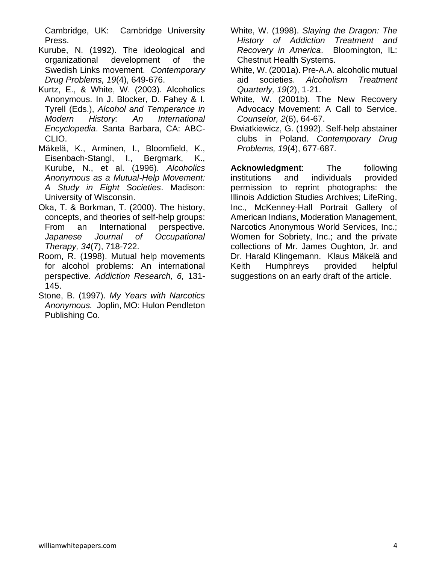Cambridge, UK: Cambridge University Press.

- Kurube, N. (1992). The ideological and organizational development of the Swedish Links movement. *Contemporary Drug Problems, 19*(4), 649-676.
- Kurtz, E., & White, W. (2003). Alcoholics Anonymous. In J. Blocker, D. Fahey & I. Tyrell (Eds.), *Alcohol and Temperance in Modern History: An International Encyclopedia*. Santa Barbara, CA: ABC-CLIO.
- Mäkelä, K., Arminen, I., Bloomfield, K., Eisenbach-Stangl, I., Bergmark, K., Kurube, N., et al. (1996). *Alcoholics Anonymous as a Mutual-Help Movement: A Study in Eight Societies*. Madison: University of Wisconsin.
- Oka, T. & Borkman, T. (2000). The history, concepts, and theories of self-help groups: From an International perspective. *Japanese Journal of Occupational Therapy, 34*(7), 718-722.
- Room, R. (1998). Mutual help movements for alcohol problems: An international perspective. *Addiction Research, 6,* 131- 145.
- Stone, B. (1997). *My Years with Narcotics Anonymous.* Joplin, MO: Hulon Pendleton Publishing Co.
- White, W. (1998). *Slaying the Dragon: The History of Addiction Treatment and Recovery in America*. Bloomington, IL: Chestnut Health Systems.
- White, W. (2001a). Pre-A.A. alcoholic mutual aid societies. *Alcoholism Treatment Quarterly, 19*(2), 1-21.
- White, W. (2001b). The New Recovery Advocacy Movement: A Call to Service. *Counselor, 2*(6), 64-67.
- Ðwiatkiewicz, G. (1992). Self-help abstainer clubs in Poland. *Contemporary Drug Problems, 19*(4), 677-687.

**Acknowledgment**: The following institutions and individuals provided permission to reprint photographs: the Illinois Addiction Studies Archives; LifeRing, Inc., McKenney-Hall Portrait Gallery of American Indians, Moderation Management, Narcotics Anonymous World Services, Inc.; Women for Sobriety, Inc.; and the private collections of Mr. James Oughton, Jr. and Dr. Harald Klingemann. Klaus Mäkelä and Keith Humphreys provided helpful suggestions on an early draft of the article.